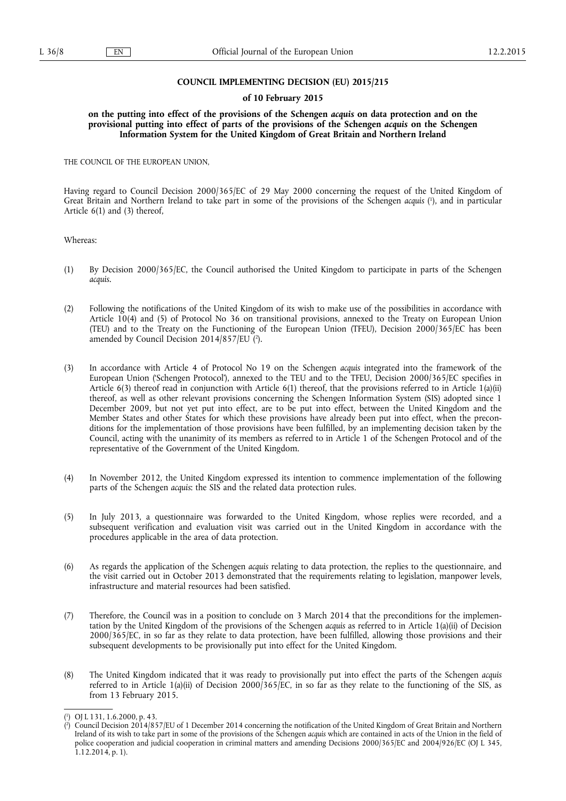### **COUNCIL IMPLEMENTING DECISION (EU) 2015/215**

#### **of 10 February 2015**

**on the putting into effect of the provisions of the Schengen** *acquis* **on data protection and on the provisional putting into effect of parts of the provisions of the Schengen** *acquis* **on the Schengen Information System for the United Kingdom of Great Britain and Northern Ireland** 

THE COUNCIL OF THE EUROPEAN UNION,

Having regard to Council Decision 2000/365/EC of 29 May 2000 concerning the request of the United Kingdom of Great Britain and Northern Ireland to take part in some of the provisions of the Schengen *acquis* ( 1 ), and in particular Article 6(1) and (3) thereof,

Whereas:

- (1) By Decision 2000/365/EC, the Council authorised the United Kingdom to participate in parts of the Schengen *acquis*.
- (2) Following the notifications of the United Kingdom of its wish to make use of the possibilities in accordance with Article 10(4) and (5) of Protocol No 36 on transitional provisions, annexed to the Treaty on European Union (TEU) and to the Treaty on the Functioning of the European Union (TFEU), Decision 2000/365/EC has been amended by Council Decision 2014/857/EU ( 2 ).
- (3) In accordance with Article 4 of Protocol No 19 on the Schengen *acquis* integrated into the framework of the European Union ('Schengen Protocol'), annexed to the TEU and to the TFEU, Decision 2000/365/EC specifies in Article 6(3) thereof read in conjunction with Article 6(1) thereof, that the provisions referred to in Article 1(a)(ii) thereof, as well as other relevant provisions concerning the Schengen Information System (SIS) adopted since 1 December 2009, but not yet put into effect, are to be put into effect, between the United Kingdom and the Member States and other States for which these provisions have already been put into effect, when the preconditions for the implementation of those provisions have been fulfilled, by an implementing decision taken by the Council, acting with the unanimity of its members as referred to in Article 1 of the Schengen Protocol and of the representative of the Government of the United Kingdom.
- (4) In November 2012, the United Kingdom expressed its intention to commence implementation of the following parts of the Schengen *acquis*: the SIS and the related data protection rules.
- (5) In July 2013, a questionnaire was forwarded to the United Kingdom, whose replies were recorded, and a subsequent verification and evaluation visit was carried out in the United Kingdom in accordance with the procedures applicable in the area of data protection.
- (6) As regards the application of the Schengen *acquis* relating to data protection, the replies to the questionnaire, and the visit carried out in October 2013 demonstrated that the requirements relating to legislation, manpower levels, infrastructure and material resources had been satisfied.
- (7) Therefore, the Council was in a position to conclude on 3 March 2014 that the preconditions for the implementation by the United Kingdom of the provisions of the Schengen *acquis* as referred to in Article 1(a)(ii) of Decision 2000/365/EC, in so far as they relate to data protection, have been fulfilled, allowing those provisions and their subsequent developments to be provisionally put into effect for the United Kingdom.
- (8) The United Kingdom indicated that it was ready to provisionally put into effect the parts of the Schengen *acquis*  referred to in Article 1(a)(ii) of Decision 2000/365/EC, in so far as they relate to the functioning of the SIS, as from 13 February 2015.

<sup>(</sup> 1 ) OJ L 131, 1.6.2000, p. 43.

<sup>(</sup> 2 ) Council Decision 2014/857/EU of 1 December 2014 concerning the notification of the United Kingdom of Great Britain and Northern Ireland of its wish to take part in some of the provisions of the Schengen *acquis* which are contained in acts of the Union in the field of police cooperation and judicial cooperation in criminal matters and amending Decisions 2000/365/EC and 2004/926/EC (OJ L 345, 1.12.2014, p. 1).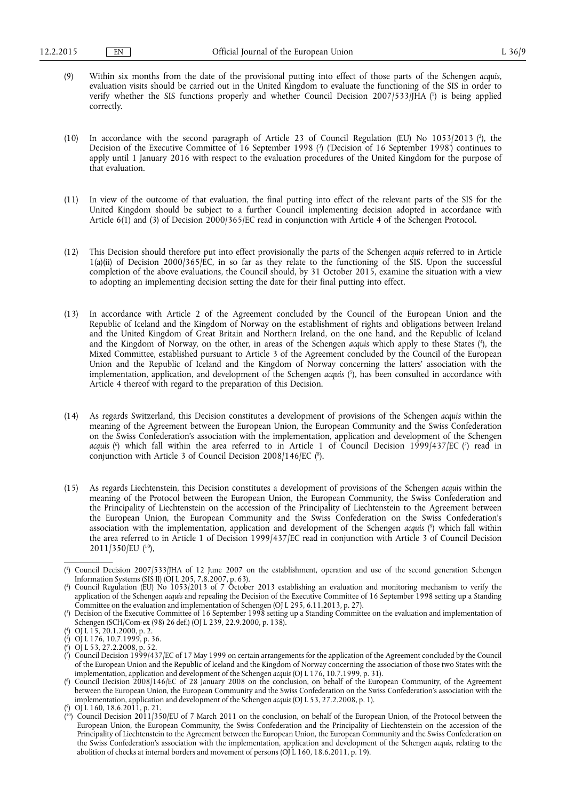- (9) Within six months from the date of the provisional putting into effect of those parts of the Schengen *acquis*, evaluation visits should be carried out in the United Kingdom to evaluate the functioning of the SIS in order to verify whether the SIS functions properly and whether Council Decision 2007/533/JHA ( 1 ) is being applied correctly.
- (10) In accordance with the second paragraph of Article 23 of Council Regulation (EU) No 1053/2013 (?), the Decision of the Executive Committee of 16 September 1998 ( 3 ) ('Decision of 16 September 1998') continues to apply until 1 January 2016 with respect to the evaluation procedures of the United Kingdom for the purpose of that evaluation.
- (11) In view of the outcome of that evaluation, the final putting into effect of the relevant parts of the SIS for the United Kingdom should be subject to a further Council implementing decision adopted in accordance with Article 6(1) and (3) of Decision 2000/365/EC read in conjunction with Article 4 of the Schengen Protocol.
- (12) This Decision should therefore put into effect provisionally the parts of the Schengen *acquis* referred to in Article  $1(a)(ii)$  of Decision 2000/365/EC, in so far as they relate to the functioning of the SIS. Upon the successful completion of the above evaluations, the Council should, by 31 October 2015, examine the situation with a view to adopting an implementing decision setting the date for their final putting into effect.
- (13) In accordance with Article 2 of the Agreement concluded by the Council of the European Union and the Republic of Iceland and the Kingdom of Norway on the establishment of rights and obligations between Ireland and the United Kingdom of Great Britain and Northern Ireland, on the one hand, and the Republic of Iceland and the Kingdom of Norway, on the other, in areas of the Schengen *acquis* which apply to these States ( 4 ), the Mixed Committee, established pursuant to Article 3 of the Agreement concluded by the Council of the European Union and the Republic of Iceland and the Kingdom of Norway concerning the latters' association with the implementation, application, and development of the Schengen *acquis* ( 5 ), has been consulted in accordance with Article 4 thereof with regard to the preparation of this Decision.
- (14) As regards Switzerland, this Decision constitutes a development of provisions of the Schengen *acquis* within the meaning of the Agreement between the European Union, the European Community and the Swiss Confederation on the Swiss Confederation's association with the implementation, application and development of the Schengen acquis (<sup>6</sup>) which fall within the area referred to in Article 1 of Council Decision 1999/437/EC (<sup>7</sup>) read in conjunction with Article 3 of Council Decision 2008/146/EC ( 8 ).
- (15) As regards Liechtenstein, this Decision constitutes a development of provisions of the Schengen *acquis* within the meaning of the Protocol between the European Union, the European Community, the Swiss Confederation and the Principality of Liechtenstein on the accession of the Principality of Liechtenstein to the Agreement between the European Union, the European Community and the Swiss Confederation on the Swiss Confederation's association with the implementation, application and development of the Schengen *acquis* ( 9 ) which fall within the area referred to in Article 1 of Decision 1999/437/EC read in conjunction with Article 3 of Council Decision 2011/350/EU ( 10),

<sup>(</sup> 1 ) Council Decision 2007/533/JHA of 12 June 2007 on the establishment, operation and use of the second generation Schengen Information Systems (SIS II) (OJ L 205, 7.8.2007, p. 63).

<sup>(</sup> 2 ) Council Regulation (EU) No 1053/2013 of 7 October 2013 establishing an evaluation and monitoring mechanism to verify the application of the Schengen *acquis* and repealing the Decision of the Executive Committee of 16 September 1998 setting up a Standing Committee on the evaluation and implementation of Schengen (OJ L 295, 6.11.2013, p. 27).

<sup>(</sup> 3 ) Decision of the Executive Committee of 16 September 1998 setting up a Standing Committee on the evaluation and implementation of Schengen (SCH/Com-ex (98) 26 def.) (OJ L 239, 22.9.2000, p. 138).

<sup>(</sup> 4 ) OJ L 15, 20.1.2000, p. 2.

<sup>(</sup> 5 ) OJ L 176, 10.7.1999, p. 36. 6

<sup>(</sup> ) OJ L 53, 27.2.2008, p. 52.

<sup>(</sup> 7 ) Council Decision 1999/437/EC of 17 May 1999 on certain arrangements for the application of the Agreement concluded by the Council of the European Union and the Republic of Iceland and the Kingdom of Norway concerning the association of those two States with the implementation, application and development of the Schengen *acquis* (OJ L 176, 10.7.1999, p. 31).

<sup>(</sup> 8 ) Council Decision 2008/146/EC of 28 January 2008 on the conclusion, on behalf of the European Community, of the Agreement between the European Union, the European Community and the Swiss Confederation on the Swiss Confederation's association with the implementation, application and development of the Schengen *acquis* (OJ L 53, 27.2.2008, p. 1). 9 ) OJ L 160, 18.6.2011, p. 21.

<sup>(</sup>

<sup>(&</sup>lt;sup>10</sup>) Council Decision 2011/350/EU of 7 March 2011 on the conclusion, on behalf of the European Union, of the Protocol between the European Union, the European Community, the Swiss Confederation and the Principality of Liechtenstein on the accession of the Principality of Liechtenstein to the Agreement between the European Union, the European Community and the Swiss Confederation on the Swiss Confederation's association with the implementation, application and development of the Schengen *acquis*, relating to the abolition of checks at internal borders and movement of persons (OJ L 160, 18.6.2011, p. 19).